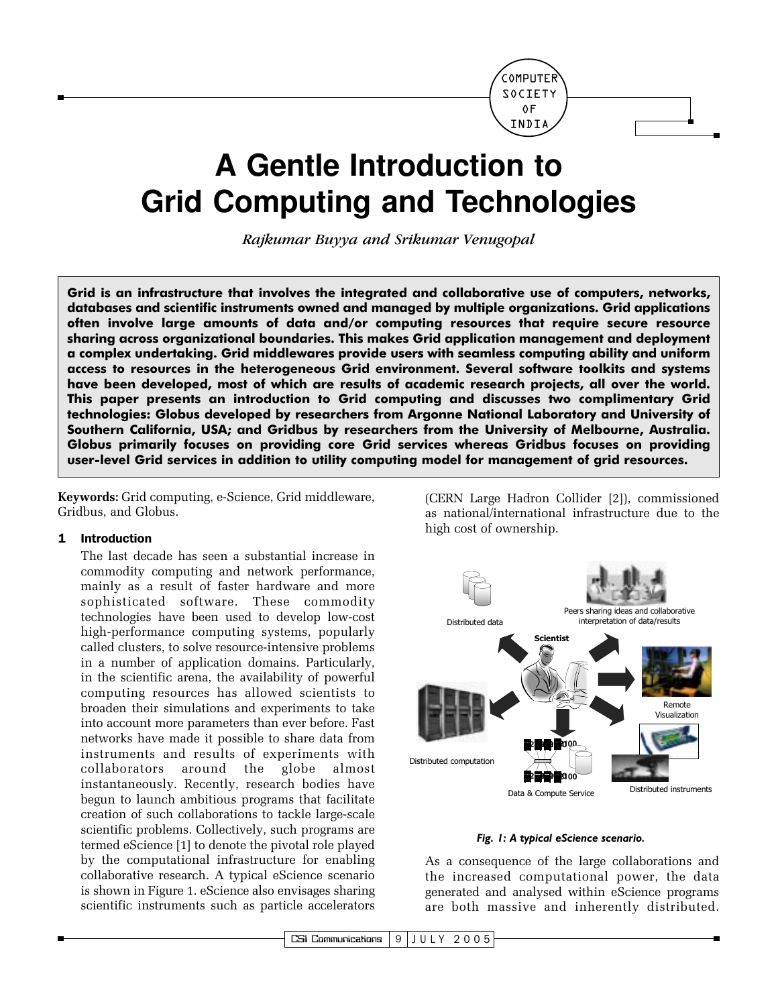

# **A Gentle Introduction to Grid Computing and Technologies**

Rajkumar Buyya and Srikumar Venugopal

Grid is an infrastructure that involves the integrated and collaborative use of computers, networks, databases and scientific instruments owned and managed by multiple organizations. Grid applications often involve large amounts of data and/or computing resources that require secure resource sharing across organizational boundaries. This makes Grid application management and deployment a complex undertaking. Grid middlewares provide users with seamless computing ability and uniform access to resources in the heterogeneous Grid environment. Several software toolkits and systems have been developed, most of which are results of academic research projects, all over the world. This paper presents an introduction to Grid computing and discusses two complimentary Grid technologies: Globus developed by researchers from Argonne National Laboratory and University of Southern California, USA; and Gridbus by researchers from the University of Melbourne, Australia. Globus primarily focuses on providing core Grid services whereas Gridbus focuses on providing user-level Grid services in addition to utility computing model for management of grid resources.

Keywords: Grid computing, e-Science, Grid middleware, Gridbus, and Globus.

#### **Introduction**  $\mathbf{1}$

The last decade has seen a substantial increase in commodity computing and network performance, mainly as a result of faster hardware and more sophisticated software. These commodity technologies have been used to develop low-cost high-performance computing systems, popularly called clusters, to solve resource-intensive problems in a number of application domains. Particularly, in the scientific arena, the availability of powerful computing resources has allowed scientists to broaden their simulations and experiments to take into account more parameters than ever before. Fast networks have made it possible to share data from instruments and results of experiments with collaborators around the globe almost instantaneously. Recently, research bodies have begun to launch ambitious programs that facilitate creation of such collaborations to tackle large-scale scientific problems. Collectively, such programs are termed eScience [1] to denote the pivotal role played by the computational infrastructure for enabling collaborative research. A typical eScience scenario is shown in Figure 1. eScience also envisages sharing scientific instruments such as particle accelerators (CERN Large Hadron Collider [2]), commissioned as national/international infrastructure due to the high cost of ownership.



## Fig. 1: A typical eScience scenario.

As a consequence of the large collaborations and the increased computational power, the data generated and analysed within eScience programs are both massive and inherently distributed.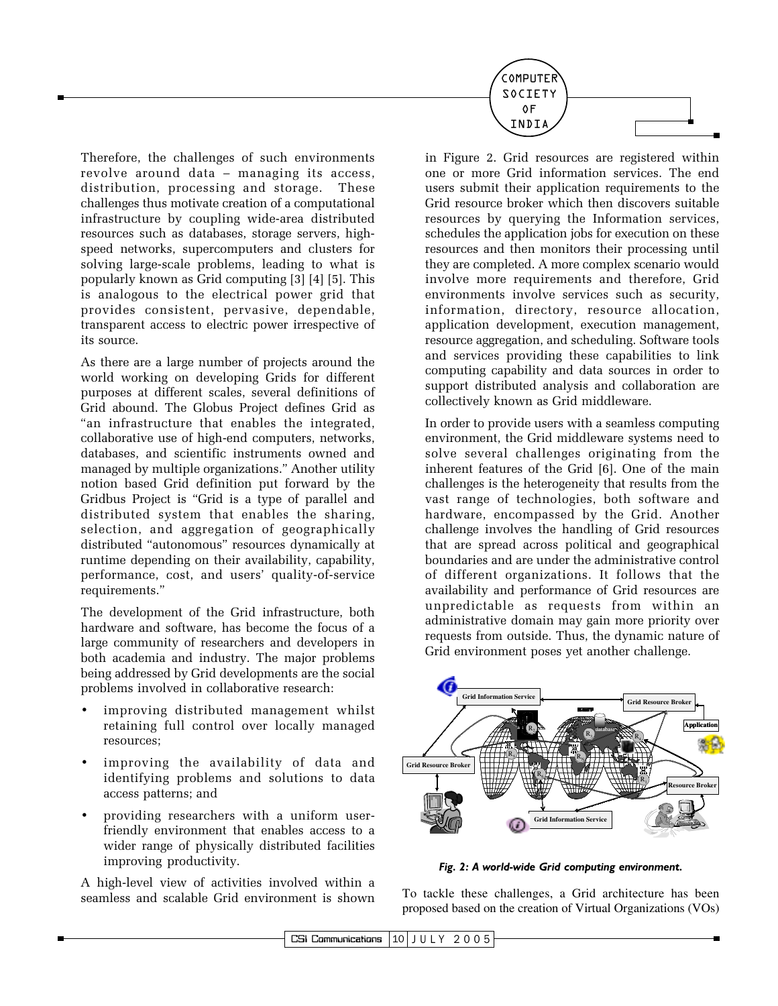

Therefore, the challenges of such environments revolve around data - managing its access, distribution, processing and storage. These challenges thus motivate creation of a computational infrastructure by coupling wide-area distributed resources such as databases, storage servers, highspeed networks, supercomputers and clusters for solving large-scale problems, leading to what is popularly known as Grid computing [3] [4] [5]. This is analogous to the electrical power grid that provides consistent, pervasive, dependable, transparent access to electric power irrespective of its source.

As there are a large number of projects around the world working on developing Grids for different purposes at different scales, several definitions of Grid abound. The Globus Project defines Grid as "an infrastructure that enables the integrated, collaborative use of high-end computers, networks, databases, and scientific instruments owned and managed by multiple organizations." Another utility notion based Grid definition put forward by the Gridbus Project is "Grid is a type of parallel and distributed system that enables the sharing, selection, and aggregation of geographically distributed "autonomous" resources dynamically at runtime depending on their availability, capability, performance, cost, and users' quality-of-service requirements."

The development of the Grid infrastructure, both hardware and software, has become the focus of a large community of researchers and developers in both academia and industry. The major problems being addressed by Grid developments are the social problems involved in collaborative research:

- improving distributed management whilst retaining full control over locally managed resources:
- improving the availability of data and identifying problems and solutions to data access patterns; and
- providing researchers with a uniform userfriendly environment that enables access to a wider range of physically distributed facilities improving productivity.

A high-level view of activities involved within a seamless and scalable Grid environment is shown in Figure 2. Grid resources are registered within one or more Grid information services. The end users submit their application requirements to the Grid resource broker which then discovers suitable resources by querying the Information services, schedules the application jobs for execution on these resources and then monitors their processing until they are completed. A more complex scenario would involve more requirements and therefore, Grid environments involve services such as security, information, directory, resource allocation, application development, execution management, resource aggregation, and scheduling. Software tools and services providing these capabilities to link computing capability and data sources in order to support distributed analysis and collaboration are collectively known as Grid middleware.

In order to provide users with a seamless computing environment, the Grid middleware systems need to solve several challenges originating from the inherent features of the Grid [6]. One of the main challenges is the heterogeneity that results from the vast range of technologies, both software and hardware, encompassed by the Grid. Another challenge involves the handling of Grid resources that are spread across political and geographical boundaries and are under the administrative control of different organizations. It follows that the availability and performance of Grid resources are unpredictable as requests from within an administrative domain may gain more priority over requests from outside. Thus, the dynamic nature of Grid environment poses yet another challenge.



Fig. 2: A world-wide Grid computing environment.

To tackle these challenges, a Grid architecture has been proposed based on the creation of Virtual Organizations (VOs)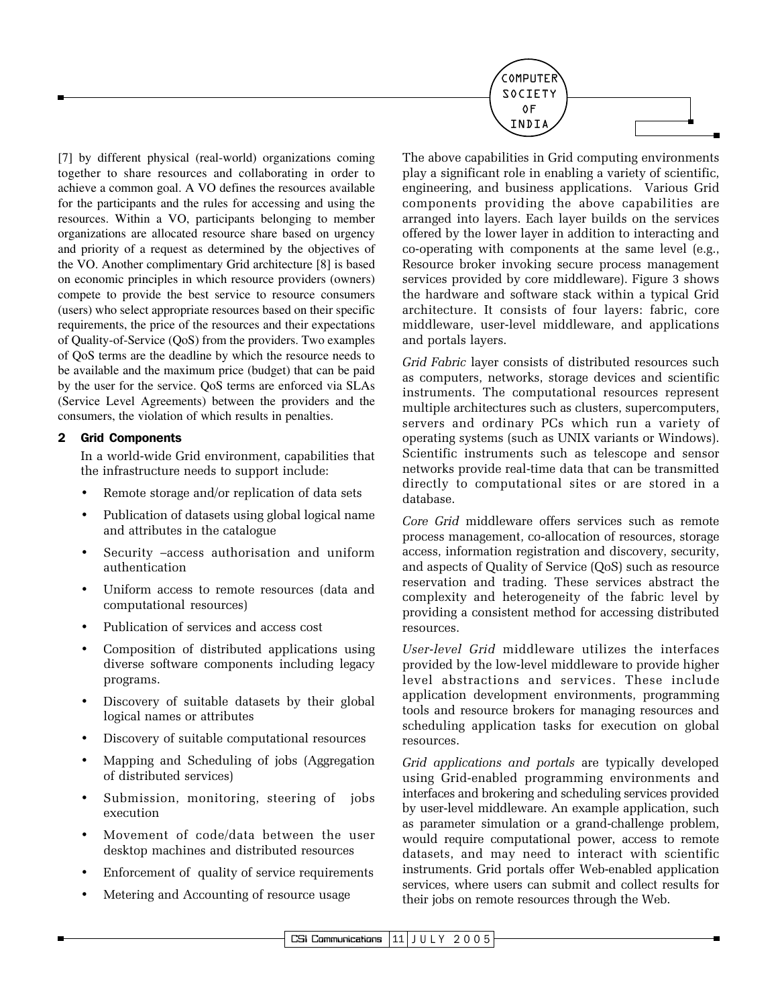

[7] by different physical (real-world) organizations coming together to share resources and collaborating in order to achieve a common goal. A VO defines the resources available for the participants and the rules for accessing and using the resources. Within a VO, participants belonging to member organizations are allocated resource share based on urgency and priority of a request as determined by the objectives of the VO. Another complimentary Grid architecture [8] is based on economic principles in which resource providers (owners) compete to provide the best service to resource consumers (users) who select appropriate resources based on their specific requirements, the price of the resources and their expectations of Quality-of-Service (QoS) from the providers. Two examples of OoS terms are the deadline by which the resource needs to be available and the maximum price (budget) that can be paid by the user for the service. OoS terms are enforced via SLAs (Service Level Agreements) between the providers and the consumers, the violation of which results in penalties.

#### **Grid Components**  $\mathbf{2}$

In a world-wide Grid environment, capabilities that the infrastructure needs to support include:

- Remote storage and/or replication of data sets
- Publication of datasets using global logical name and attributes in the catalogue
- Security -access authorisation and uniform authentication
- Uniform access to remote resources (data and computational resources)
- Publication of services and access cost
- Composition of distributed applications using diverse software components including legacy programs.
- Discovery of suitable datasets by their global logical names or attributes
- Discovery of suitable computational resources
- Mapping and Scheduling of jobs (Aggregation of distributed services)
- Submission, monitoring, steering of jobs execution
- Movement of code/data between the user desktop machines and distributed resources
- Enforcement of quality of service requirements
- Metering and Accounting of resource usage

The above capabilities in Grid computing environments play a significant role in enabling a variety of scientific, engineering, and business applications. Various Grid components providing the above capabilities are arranged into layers. Each layer builds on the services offered by the lower layer in addition to interacting and co-operating with components at the same level (e.g., Resource broker invoking secure process management services provided by core middleware). Figure 3 shows the hardware and software stack within a typical Grid architecture. It consists of four layers: fabric, core middleware, user-level middleware, and applications and portals layers.

Grid Fabric layer consists of distributed resources such as computers, networks, storage devices and scientific instruments. The computational resources represent multiple architectures such as clusters, supercomputers, servers and ordinary PCs which run a variety of operating systems (such as UNIX variants or Windows). Scientific instruments such as telescope and sensor networks provide real-time data that can be transmitted directly to computational sites or are stored in a database.

Core Grid middleware offers services such as remote process management, co-allocation of resources, storage access, information registration and discovery, security, and aspects of Quality of Service (QoS) such as resource reservation and trading. These services abstract the complexity and heterogeneity of the fabric level by providing a consistent method for accessing distributed resources.

User-level Grid middleware utilizes the interfaces provided by the low-level middleware to provide higher level abstractions and services. These include application development environments, programming tools and resource brokers for managing resources and scheduling application tasks for execution on global resources.

Grid applications and portals are typically developed using Grid-enabled programming environments and interfaces and brokering and scheduling services provided by user-level middleware. An example application, such as parameter simulation or a grand-challenge problem, would require computational power, access to remote datasets, and may need to interact with scientific instruments. Grid portals offer Web-enabled application services, where users can submit and collect results for their jobs on remote resources through the Web.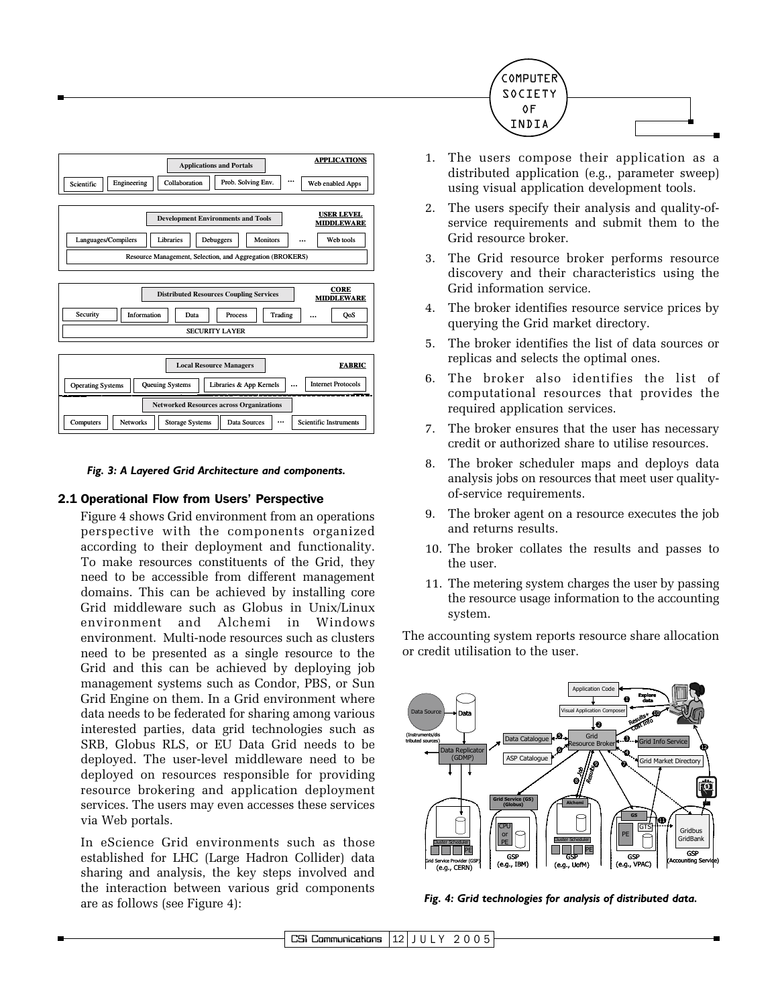



Fig. 3: A Layered Grid Architecture and components.

### 2.1 Operational Flow from Users' Perspective

Figure 4 shows Grid environment from an operations perspective with the components organized according to their deployment and functionality. To make resources constituents of the Grid, they need to be accessible from different management domains. This can be achieved by installing core Grid middleware such as Globus in Unix/Linux environment and Alchemi in Windows environment. Multi-node resources such as clusters need to be presented as a single resource to the Grid and this can be achieved by deploying job management systems such as Condor, PBS, or Sun Grid Engine on them. In a Grid environment where data needs to be federated for sharing among various interested parties, data grid technologies such as SRB, Globus RLS, or EU Data Grid needs to be deployed. The user-level middleware need to be deployed on resources responsible for providing resource brokering and application deployment services. The users may even accesses these services via Web portals.

In eScience Grid environments such as those established for LHC (Large Hadron Collider) data sharing and analysis, the key steps involved and the interaction between various grid components are as follows (see Figure 4):

- 1. The users compose their application as a distributed application (e.g., parameter sweep) using visual application development tools.
- 2. The users specify their analysis and quality-ofservice requirements and submit them to the Grid resource broker.
- 3. The Grid resource broker performs resource discovery and their characteristics using the Grid information service.
- 4. The broker identifies resource service prices by querying the Grid market directory.
- 5. The broker identifies the list of data sources or replicas and selects the optimal ones.
- 6. The broker also identifies the list of computational resources that provides the required application services.
- 7. The broker ensures that the user has necessary credit or authorized share to utilise resources.
- 8. The broker scheduler maps and deploys data analysis jobs on resources that meet user qualityof-service requirements.
- 9. The broker agent on a resource executes the job and returns results.
- 10. The broker collates the results and passes to the user.
- 11. The metering system charges the user by passing the resource usage information to the accounting system.

The accounting system reports resource share allocation or credit utilisation to the user.



Fig. 4: Grid technologies for analysis of distributed data.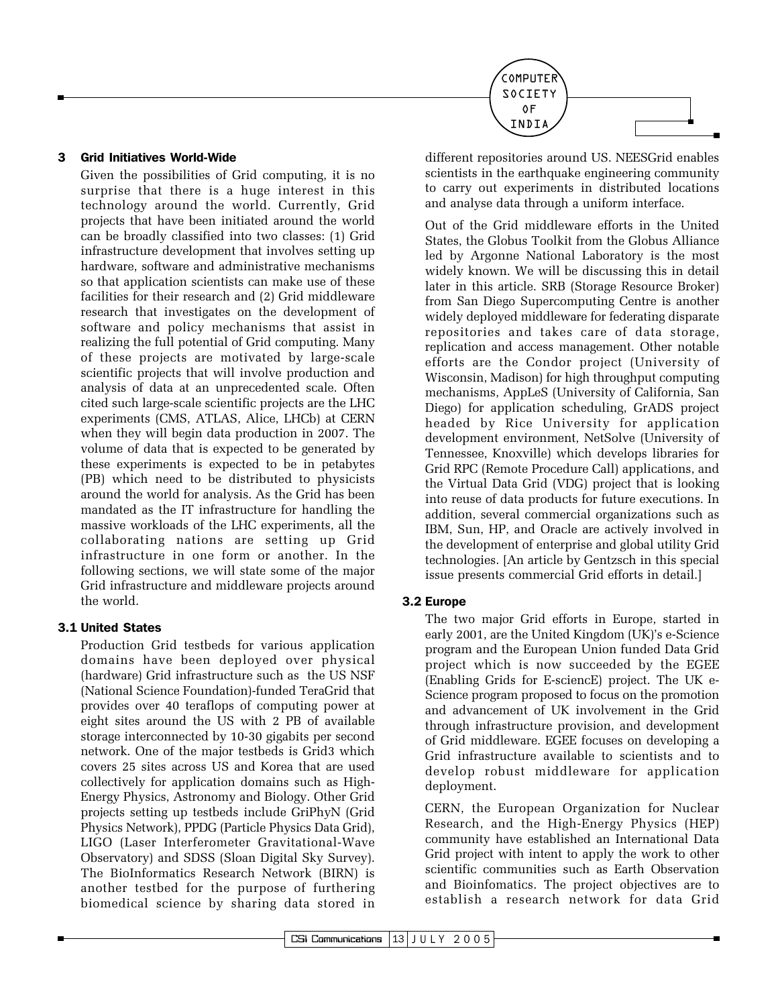

#### **Grid Initiatives World-Wide** з

Given the possibilities of Grid computing, it is no surprise that there is a huge interest in this technology around the world. Currently, Grid projects that have been initiated around the world can be broadly classified into two classes: (1) Grid infrastructure development that involves setting up hardware, software and administrative mechanisms so that application scientists can make use of these facilities for their research and (2) Grid middleware research that investigates on the development of software and policy mechanisms that assist in realizing the full potential of Grid computing. Many of these projects are motivated by large-scale scientific projects that will involve production and analysis of data at an unprecedented scale. Often cited such large-scale scientific projects are the LHC experiments (CMS, ATLAS, Alice, LHCb) at CERN when they will begin data production in 2007. The volume of data that is expected to be generated by these experiments is expected to be in petabytes (PB) which need to be distributed to physicists around the world for analysis. As the Grid has been mandated as the IT infrastructure for handling the massive workloads of the LHC experiments, all the collaborating nations are setting up Grid infrastructure in one form or another. In the following sections, we will state some of the major Grid infrastructure and middleware projects around the world.

# **3.1 United States**

Production Grid testbeds for various application domains have been deployed over physical (hardware) Grid infrastructure such as the US NSF (National Science Foundation)-funded TeraGrid that provides over 40 teraflops of computing power at eight sites around the US with 2 PB of available storage interconnected by 10-30 gigabits per second network. One of the major testbeds is Grid3 which covers 25 sites across US and Korea that are used collectively for application domains such as High-Energy Physics, Astronomy and Biology. Other Grid projects setting up testbeds include GriPhyN (Grid Physics Network), PPDG (Particle Physics Data Grid), LIGO (Laser Interferometer Gravitational-Wave Observatory) and SDSS (Sloan Digital Sky Survey). The BioInformatics Research Network (BIRN) is another testbed for the purpose of furthering biomedical science by sharing data stored in different repositories around US. NEESGrid enables scientists in the earthquake engineering community to carry out experiments in distributed locations and analyse data through a uniform interface.

Out of the Grid middleware efforts in the United States, the Globus Toolkit from the Globus Alliance led by Argonne National Laboratory is the most widely known. We will be discussing this in detail later in this article. SRB (Storage Resource Broker) from San Diego Supercomputing Centre is another widely deployed middleware for federating disparate repositories and takes care of data storage, replication and access management. Other notable efforts are the Condor project (University of Wisconsin, Madison) for high throughput computing mechanisms, AppLeS (University of California, San Diego) for application scheduling, GrADS project headed by Rice University for application development environment, NetSolve (University of Tennessee, Knoxville) which develops libraries for Grid RPC (Remote Procedure Call) applications, and the Virtual Data Grid (VDG) project that is looking into reuse of data products for future executions. In addition, several commercial organizations such as IBM, Sun, HP, and Oracle are actively involved in the development of enterprise and global utility Grid technologies. [An article by Gentzsch in this special issue presents commercial Grid efforts in detail.

# 3.2 Europe

The two major Grid efforts in Europe, started in early 2001, are the United Kingdom (UK)'s e-Science program and the European Union funded Data Grid project which is now succeeded by the EGEE (Enabling Grids for E-sciencE) project. The UK e-Science program proposed to focus on the promotion and advancement of UK involvement in the Grid through infrastructure provision, and development of Grid middleware. EGEE focuses on developing a Grid infrastructure available to scientists and to develop robust middleware for application deployment.

CERN, the European Organization for Nuclear Research, and the High-Energy Physics (HEP) community have established an International Data Grid project with intent to apply the work to other scientific communities such as Earth Observation and Bioinfomatics. The project objectives are to establish a research network for data Grid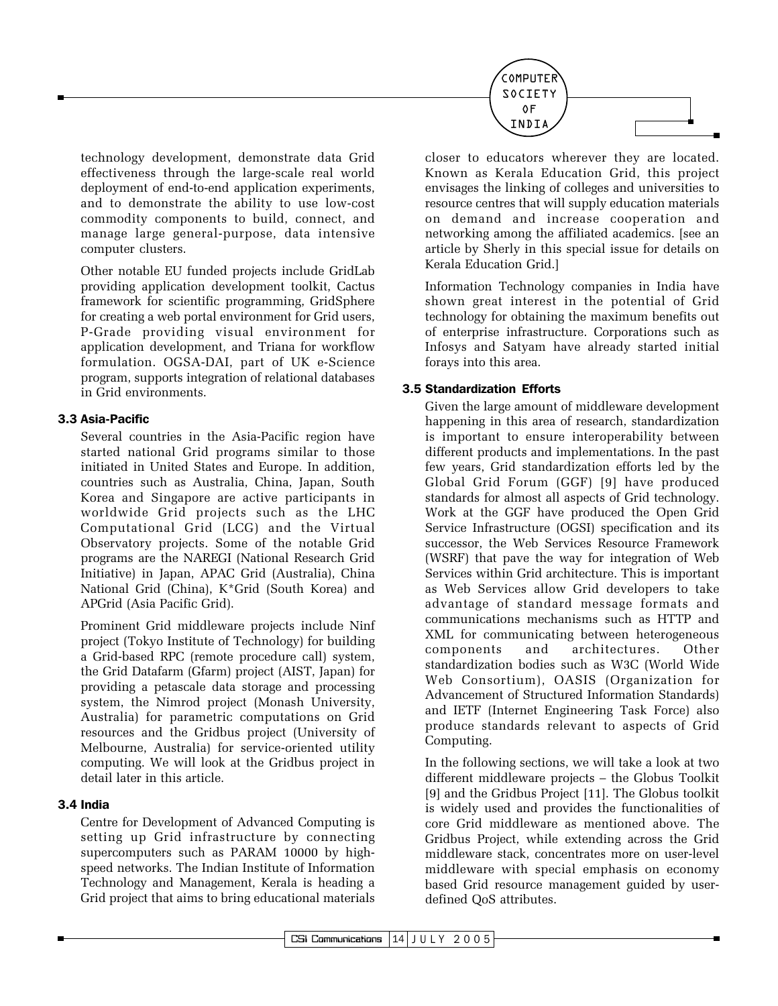

technology development, demonstrate data Grid effectiveness through the large-scale real world deployment of end-to-end application experiments, and to demonstrate the ability to use low-cost commodity components to build, connect, and manage large general-purpose, data intensive computer clusters.

Other notable EU funded projects include GridLab providing application development toolkit, Cactus framework for scientific programming, GridSphere for creating a web portal environment for Grid users, P-Grade providing visual environment for application development, and Triana for workflow formulation. OGSA-DAI, part of UK e-Science program, supports integration of relational databases in Grid environments.

# 3.3 Asia-Pacific

Several countries in the Asia-Pacific region have started national Grid programs similar to those initiated in United States and Europe. In addition, countries such as Australia, China, Japan, South Korea and Singapore are active participants in worldwide Grid projects such as the LHC Computational Grid (LCG) and the Virtual Observatory projects. Some of the notable Grid programs are the NAREGI (National Research Grid Initiative) in Japan, APAC Grid (Australia), China National Grid (China), K\*Grid (South Korea) and APGrid (Asia Pacific Grid).

Prominent Grid middleware projects include Ninf project (Tokyo Institute of Technology) for building a Grid-based RPC (remote procedure call) system, the Grid Datafarm (Gfarm) project (AIST, Japan) for providing a petascale data storage and processing system, the Nimrod project (Monash University, Australia) for parametric computations on Grid resources and the Gridbus project (University of Melbourne, Australia) for service-oriented utility computing. We will look at the Gridbus project in detail later in this article.

# 3.4 India

Centre for Development of Advanced Computing is setting up Grid infrastructure by connecting supercomputers such as PARAM 10000 by highspeed networks. The Indian Institute of Information Technology and Management, Kerala is heading a Grid project that aims to bring educational materials

closer to educators wherever they are located. Known as Kerala Education Grid, this project envisages the linking of colleges and universities to resource centres that will supply education materials on demand and increase cooperation and networking among the affiliated academics. [see an article by Sherly in this special issue for details on Kerala Education Grid.]

Information Technology companies in India have shown great interest in the potential of Grid technology for obtaining the maximum benefits out of enterprise infrastructure. Corporations such as Infosys and Satyam have already started initial forays into this area.

# 3.5 Standardization Efforts

Given the large amount of middleware development happening in this area of research, standardization is important to ensure interoperability between different products and implementations. In the past few years, Grid standardization efforts led by the Global Grid Forum (GGF) [9] have produced standards for almost all aspects of Grid technology. Work at the GGF have produced the Open Grid Service Infrastructure (OGSI) specification and its successor, the Web Services Resource Framework (WSRF) that pave the way for integration of Web Services within Grid architecture. This is important as Web Services allow Grid developers to take advantage of standard message formats and communications mechanisms such as HTTP and XML for communicating between heterogeneous architectures. components and Other standardization bodies such as W3C (World Wide Web Consortium), OASIS (Organization for Advancement of Structured Information Standards) and IETF (Internet Engineering Task Force) also produce standards relevant to aspects of Grid Computing.

In the following sections, we will take a look at two different middleware projects – the Globus Toolkit [9] and the Gridbus Project [11]. The Globus toolkit is widely used and provides the functionalities of core Grid middleware as mentioned above. The Gridbus Project, while extending across the Grid middleware stack, concentrates more on user-level middleware with special emphasis on economy based Grid resource management guided by userdefined QoS attributes.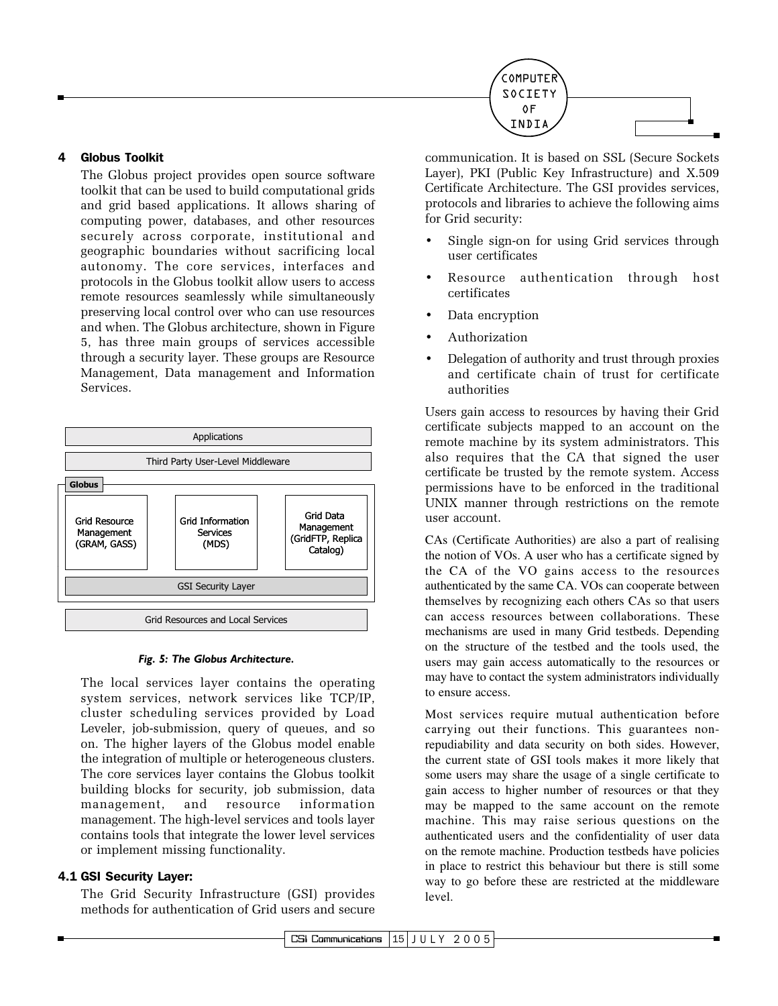

#### 4 **Globus Toolkit**

The Globus project provides open source software toolkit that can be used to build computational grids and grid based applications. It allows sharing of computing power, databases, and other resources securely across corporate, institutional and geographic boundaries without sacrificing local autonomy. The core services, interfaces and protocols in the Globus toolkit allow users to access remote resources seamlessly while simultaneously preserving local control over who can use resources and when. The Globus architecture, shown in Figure 5, has three main groups of services accessible through a security layer. These groups are Resource Management, Data management and Information Services.



### Fig. 5: The Globus Architecture.

The local services layer contains the operating system services, network services like TCP/IP, cluster scheduling services provided by Load Leveler, job-submission, query of queues, and so on. The higher layers of the Globus model enable the integration of multiple or heterogeneous clusters. The core services layer contains the Globus toolkit building blocks for security, job submission, data management, and resource information management. The high-level services and tools layer contains tools that integrate the lower level services or implement missing functionality.

## 4.1 GSI Security Layer:

The Grid Security Infrastructure (GSI) provides methods for authentication of Grid users and secure communication. It is based on SSL (Secure Sockets Layer), PKI (Public Key Infrastructure) and X.509 Certificate Architecture. The GSI provides services, protocols and libraries to achieve the following aims for Grid security:

- Single sign-on for using Grid services through user certificates
- Resource authentication through host certificates
- Data encryption
- Authorization
- Delegation of authority and trust through proxies and certificate chain of trust for certificate authorities

Users gain access to resources by having their Grid certificate subjects mapped to an account on the remote machine by its system administrators. This also requires that the CA that signed the user certificate be trusted by the remote system. Access permissions have to be enforced in the traditional UNIX manner through restrictions on the remote user account.

CAs (Certificate Authorities) are also a part of realising the notion of VOs. A user who has a certificate signed by the CA of the VO gains access to the resources authenticated by the same CA. VOs can cooperate between themselves by recognizing each others CAs so that users can access resources between collaborations. These mechanisms are used in many Grid testbeds. Depending on the structure of the testbed and the tools used, the users may gain access automatically to the resources or may have to contact the system administrators individually to ensure access.

Most services require mutual authentication before carrying out their functions. This guarantees nonrepudiability and data security on both sides. However, the current state of GSI tools makes it more likely that some users may share the usage of a single certificate to gain access to higher number of resources or that they may be mapped to the same account on the remote machine. This may raise serious questions on the authenticated users and the confidentiality of user data on the remote machine. Production testbeds have policies in place to restrict this behaviour but there is still some way to go before these are restricted at the middleware level.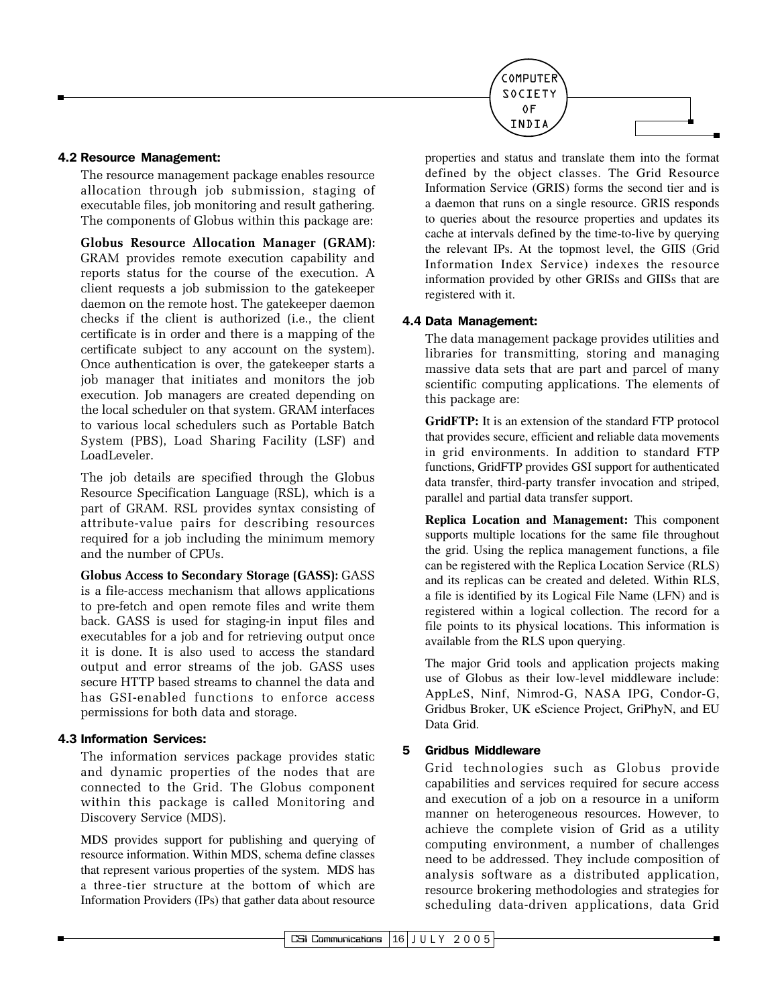

# 4.2 Resource Management:

The resource management package enables resource allocation through job submission, staging of executable files, job monitoring and result gathering. The components of Globus within this package are:

**Globus Resource Allocation Manager (GRAM):** GRAM provides remote execution capability and reports status for the course of the execution. A client requests a job submission to the gatekeeper daemon on the remote host. The gatekeeper daemon checks if the client is authorized (*i.e.*, the client certificate is in order and there is a mapping of the certificate subject to any account on the system). Once authentication is over, the gatekeeper starts a job manager that initiates and monitors the job execution. Job managers are created depending on the local scheduler on that system. GRAM interfaces to various local schedulers such as Portable Batch System (PBS), Load Sharing Facility (LSF) and LoadLeveler.

The job details are specified through the Globus Resource Specification Language (RSL), which is a part of GRAM. RSL provides syntax consisting of attribute-value pairs for describing resources required for a job including the minimum memory and the number of CPUs.

**Globus Access to Secondary Storage (GASS): GASS** is a file-access mechanism that allows applications to pre-fetch and open remote files and write them back. GASS is used for staging-in input files and executables for a job and for retrieving output once it is done. It is also used to access the standard output and error streams of the job. GASS uses secure HTTP based streams to channel the data and has GSI-enabled functions to enforce access permissions for both data and storage.

## **4.3 Information Services:**

The information services package provides static and dynamic properties of the nodes that are connected to the Grid. The Globus component within this package is called Monitoring and Discovery Service (MDS).

MDS provides support for publishing and querying of resource information. Within MDS, schema define classes that represent various properties of the system. MDS has a three-tier structure at the bottom of which are Information Providers (IPs) that gather data about resource properties and status and translate them into the format defined by the object classes. The Grid Resource Information Service (GRIS) forms the second tier and is a daemon that runs on a single resource. GRIS responds to queries about the resource properties and updates its cache at intervals defined by the time-to-live by querying the relevant IPs. At the topmost level, the GIIS (Grid Information Index Service) indexes the resource information provided by other GRISs and GIISs that are registered with it.

# 4.4 Data Management:

The data management package provides utilities and libraries for transmitting, storing and managing massive data sets that are part and parcel of many scientific computing applications. The elements of this package are:

GridFTP: It is an extension of the standard FTP protocol that provides secure, efficient and reliable data movements in grid environments. In addition to standard FTP functions, GridFTP provides GSI support for authenticated data transfer, third-party transfer invocation and striped, parallel and partial data transfer support.

Replica Location and Management: This component supports multiple locations for the same file throughout the grid. Using the replica management functions, a file can be registered with the Replica Location Service (RLS) and its replicas can be created and deleted. Within RLS, a file is identified by its Logical File Name (LFN) and is registered within a logical collection. The record for a file points to its physical locations. This information is available from the RLS upon querying.

The major Grid tools and application projects making use of Globus as their low-level middleware include: AppLeS, Ninf, Nimrod-G, NASA IPG, Condor-G, Gridbus Broker, UK eScience Project, GriPhyN, and EU Data Grid.

#### 5 **Gridbus Middleware**

Grid technologies such as Globus provide capabilities and services required for secure access and execution of a job on a resource in a uniform manner on heterogeneous resources. However, to achieve the complete vision of Grid as a utility computing environment, a number of challenges need to be addressed. They include composition of analysis software as a distributed application, resource brokering methodologies and strategies for scheduling data-driven applications, data Grid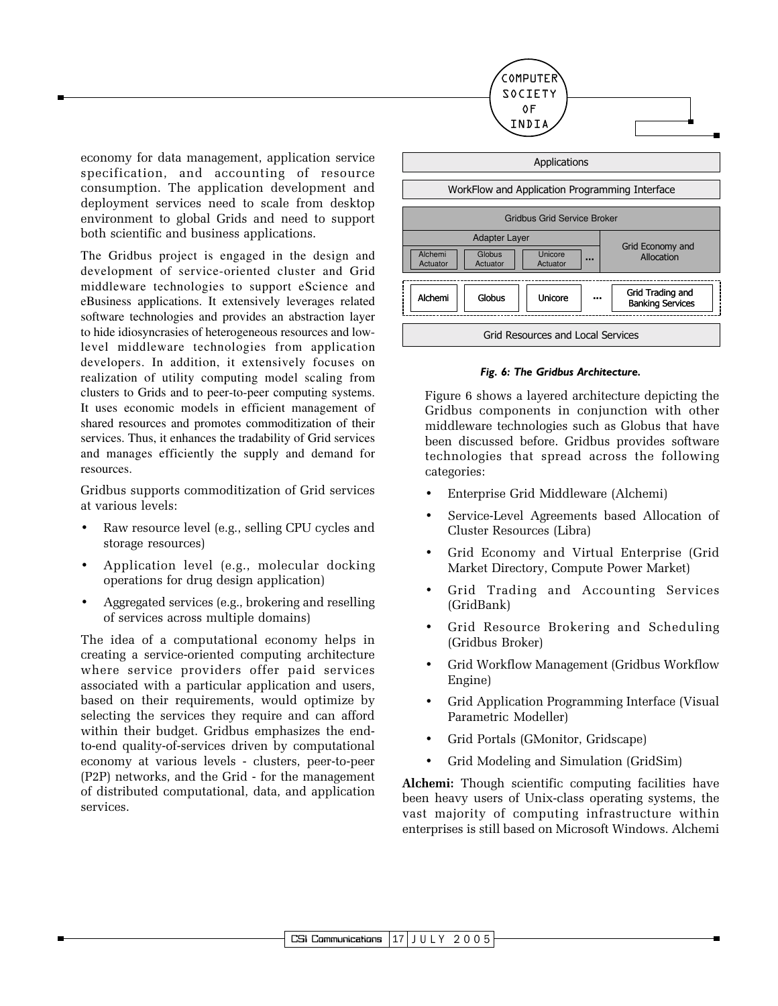economy for data management, application service specification, and accounting of resource consumption. The application development and deployment services need to scale from desktop environment to global Grids and need to support both scientific and business applications.

The Gridbus project is engaged in the design and development of service-oriented cluster and Grid middleware technologies to support eScience and eBusiness applications. It extensively leverages related software technologies and provides an abstraction layer to hide idiosyncrasies of heterogeneous resources and lowlevel middleware technologies from application developers. In addition, it extensively focuses on realization of utility computing model scaling from clusters to Grids and to peer-to-peer computing systems. It uses economic models in efficient management of shared resources and promotes commoditization of their services. Thus, it enhances the tradability of Grid services and manages efficiently the supply and demand for resources.

Gridbus supports commoditization of Grid services at various levels:

- Raw resource level (e.g., selling CPU cycles and storage resources)
- Application level (e.g., molecular docking operations for drug design application)
- Aggregated services (e.g., brokering and reselling of services across multiple domains)

The idea of a computational economy helps in creating a service-oriented computing architecture where service providers offer paid services associated with a particular application and users, based on their requirements, would optimize by selecting the services they require and can afford within their budget. Gridbus emphasizes the endto-end quality-of-services driven by computational economy at various levels - clusters, peer-to-peer (P2P) networks, and the Grid - for the management of distributed computational, data, and application services.



COMPUTER **SOCIETY** 

### Fig. 6: The Gridbus Architecture.

Figure 6 shows a layered architecture depicting the Gridbus components in conjunction with other middleware technologies such as Globus that have been discussed before. Gridbus provides software technologies that spread across the following categories:

- Enterprise Grid Middleware (Alchemi)
- Service-Level Agreements based Allocation of Cluster Resources (Libra)
- Grid Economy and Virtual Enterprise (Grid Market Directory, Compute Power Market)
- Grid Trading and Accounting Services (GridBank)
- Grid Resource Brokering and Scheduling (Gridbus Broker)
- Grid Workflow Management (Gridbus Workflow Engine)
- Grid Application Programming Interface (Visual Parametric Modeller)
- Grid Portals (GMonitor, Gridscape)
- Grid Modeling and Simulation (GridSim)  $\bullet$

Alchemi: Though scientific computing facilities have been heavy users of Unix-class operating systems, the vast majority of computing infrastructure within enterprises is still based on Microsoft Windows. Alchemi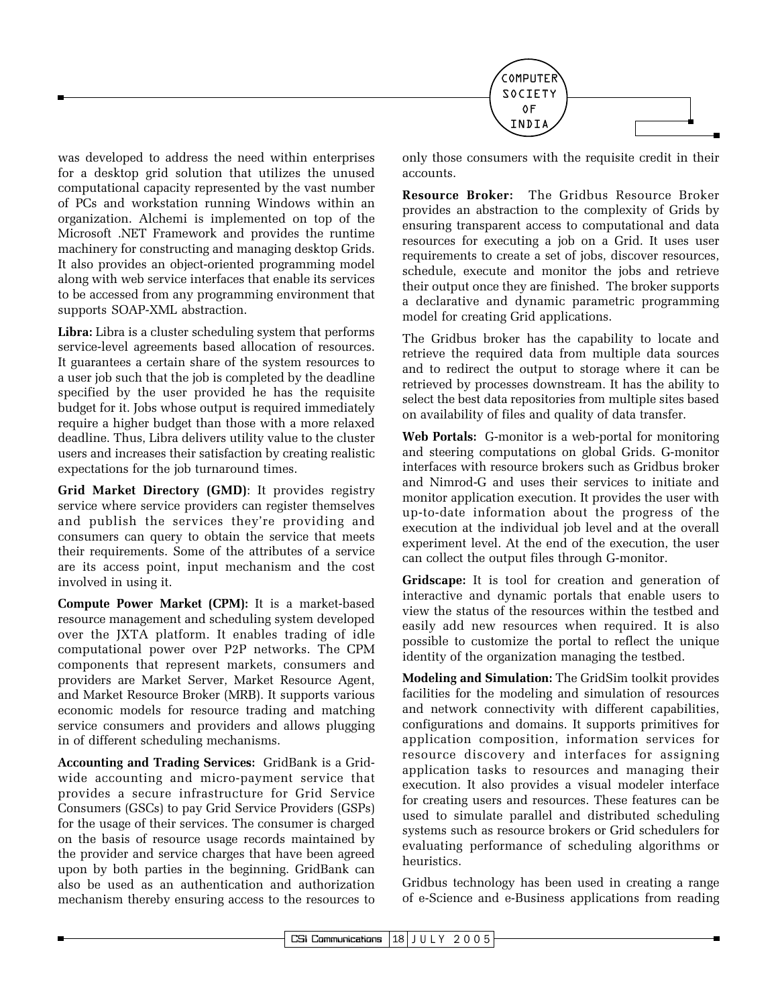

was developed to address the need within enterprises for a desktop grid solution that utilizes the unused computational capacity represented by the vast number of PCs and workstation running Windows within an organization. Alchemi is implemented on top of the Microsoft .NET Framework and provides the runtime machinery for constructing and managing desktop Grids. It also provides an object-oriented programming model along with web service interfaces that enable its services to be accessed from any programming environment that supports SOAP-XML abstraction.

**Libra:** Libra is a cluster scheduling system that performs service-level agreements based allocation of resources. It guarantees a certain share of the system resources to a user job such that the job is completed by the deadline specified by the user provided he has the requisite budget for it. Jobs whose output is required immediately require a higher budget than those with a more relaxed deadline. Thus, Libra delivers utility value to the cluster users and increases their satisfaction by creating realistic expectations for the job turnaround times.

Grid Market Directory (GMD): It provides registry service where service providers can register themselves and publish the services they're providing and consumers can query to obtain the service that meets their requirements. Some of the attributes of a service are its access point, input mechanism and the cost involved in using it.

Compute Power Market (CPM): It is a market-based resource management and scheduling system developed over the JXTA platform. It enables trading of idle computational power over P2P networks. The CPM components that represent markets, consumers and providers are Market Server, Market Resource Agent, and Market Resource Broker (MRB). It supports various economic models for resource trading and matching service consumers and providers and allows plugging in of different scheduling mechanisms.

Accounting and Trading Services: GridBank is a Gridwide accounting and micro-payment service that provides a secure infrastructure for Grid Service Consumers (GSCs) to pay Grid Service Providers (GSPs) for the usage of their services. The consumer is charged on the basis of resource usage records maintained by the provider and service charges that have been agreed upon by both parties in the beginning. GridBank can also be used as an authentication and authorization mechanism thereby ensuring access to the resources to only those consumers with the requisite credit in their accounts.

**Resource Broker:** The Gridbus Resource Broker provides an abstraction to the complexity of Grids by ensuring transparent access to computational and data resources for executing a job on a Grid. It uses user requirements to create a set of jobs, discover resources, schedule, execute and monitor the jobs and retrieve their output once they are finished. The broker supports a declarative and dynamic parametric programming model for creating Grid applications.

The Gridbus broker has the capability to locate and retrieve the required data from multiple data sources and to redirect the output to storage where it can be retrieved by processes downstream. It has the ability to select the best data repositories from multiple sites based on availability of files and quality of data transfer.

Web Portals: G-monitor is a web-portal for monitoring and steering computations on global Grids. G-monitor interfaces with resource brokers such as Gridbus broker and Nimrod-G and uses their services to initiate and monitor application execution. It provides the user with up-to-date information about the progress of the execution at the individual job level and at the overall experiment level. At the end of the execution, the user can collect the output files through G-monitor.

Gridscape: It is tool for creation and generation of interactive and dynamic portals that enable users to view the status of the resources within the testbed and easily add new resources when required. It is also possible to customize the portal to reflect the unique identity of the organization managing the testbed.

Modeling and Simulation: The GridSim toolkit provides facilities for the modeling and simulation of resources and network connectivity with different capabilities, configurations and domains. It supports primitives for application composition, information services for resource discovery and interfaces for assigning application tasks to resources and managing their execution. It also provides a visual modeler interface for creating users and resources. These features can be used to simulate parallel and distributed scheduling systems such as resource brokers or Grid schedulers for evaluating performance of scheduling algorithms or heuristics.

Gridbus technology has been used in creating a range of e-Science and e-Business applications from reading